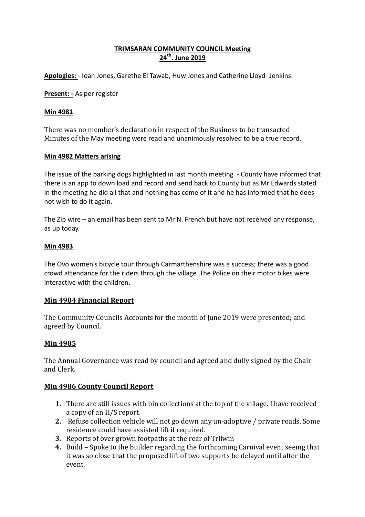# **TRIMSARAN COMMUNITY COUNCIL Meeting 24th. June 2019**

**Apologies:** - Ioan Jones, Garethe El Tawab, Huw Jones and Catherine Lloyd- Jenkins

**Present: -** As per register

#### **Min 4981**

There was no member's declaration in respect of the Business to be transacted Minutes of the May meeting were read and unanimously resolved to be a true record.

#### **Min 4982 Matters arising**

The issue of the barking dogs highlighted in last month meeting - County have informed that there is an app to down load and record and send back to County but as Mr Edwards stated in the meeting he did all that and nothing has come of it and he has informed that he does not wish to do it again.

The Zip wire – an email has been sent to Mr N. French but have not received any response, as up today.

#### **Min 4983**

The Ovo women's bicycle tour through Carmarthenshire was a success; there was a good crowd attendance for the riders through the village .The Police on their motor bikes were interactive with the children.

#### **Min 4984 Financial Report**

The Community Councils Accounts for the month of June 2019 were presented; and agreed by Council.

# **Min 4985**

The Annual Governance was read by council and agreed and dully signed by the Chair and Clerk.

# **Min 4986 County Council Report**

- **1.** There are still issues with bin collections at the top of the village. I have received a copy of an H/S report.
- **2.** Refuse collection vehicle will not go down any un-adoptive / private roads. Some residence could have assisted lift if required.
- **3.** Reports of over grown footpaths at the rear of Trilwm
- **4.** Build Spoke to the builder regarding the forthcoming Carnival event seeing that it was so close that the proposed lift of two supports be delayed until after the event.